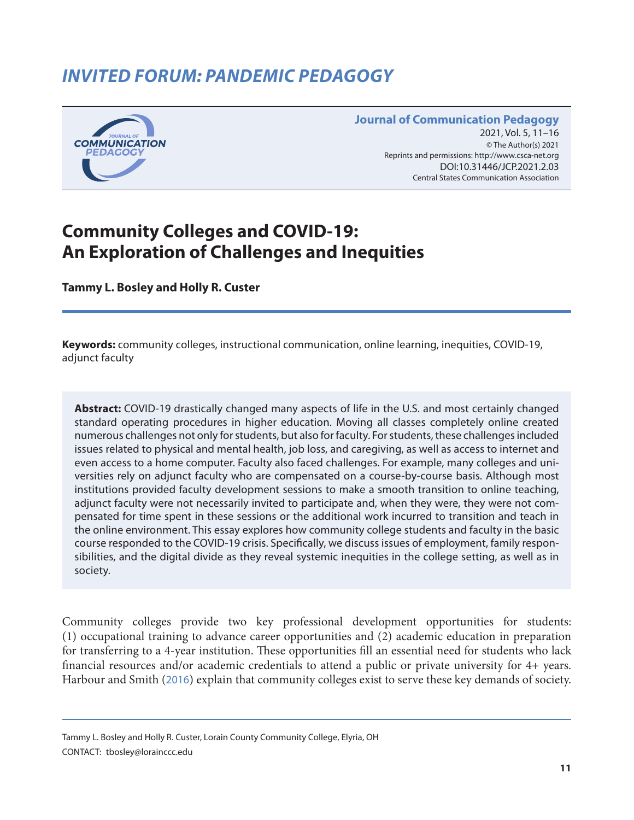# *INVITED FORUM: PANDEMIC PEDAGOGY*



#### **Journal of Communication Pedagogy** 2021, Vol. 5, 11-16 © The Author(s) 2021 Reprints and permissions: <http://www.csca-net.org> 2021, Vol. 5, 11–162021Reprints and permissions:<http://www.csca-net.org> DOI:10.31446/JCP.2018.02 DOI:10.31446/JCP.2021.2.03 Central States Communication Association Central States Communication Association

# **Community Colleges and COVID-19: An Exploration of Challenges and Inequities**

**Tammy L. Bosley and Holly R. Custer**

**Keywords:** community colleges, instructional communication, online learning, inequities, COVID-19, adjunct faculty

**Abstract:** COVID-19 drastically changed many aspects of life in the U.S. and most certainly changed standard operating procedures in higher education. Moving all classes completely online created numerous challenges not only for students, but also for faculty. For students, these challenges included issues related to physical and mental health, job loss, and caregiving, as well as access to internet and even access to a home computer. Faculty also faced challenges. For example, many colleges and universities rely on adjunct faculty who are compensated on a course-by-course basis. Although most institutions provided faculty development sessions to make a smooth transition to online teaching, adjunct faculty were not necessarily invited to participate and, when they were, they were not compensated for time spent in these sessions or the additional work incurred to transition and teach in the online environment. This essay explores how community college students and faculty in the basic course responded to the COVID-19 crisis. Specifically, we discuss issues of employment, family responsibilities, and the digital divide as they reveal systemic inequities in the college setting, as well as in society.

Community colleges provide two key professional development opportunities for students: (1) occupational training to advance career opportunities and (2) academic education in preparation for transferring to a 4-year institution. These opportunities fill an essential need for students who lack financial resources and/or academic credentials to attend a public or private university for 4+ years. Harbour and Smith ([2016](#page-5-0)) explain that community colleges exist to serve these key demands of society.

Tammy L. Bosley and Holly R. Custer, Lorain County Community College, Elyria, OH CONTACT: tbosley@lorainccc.edu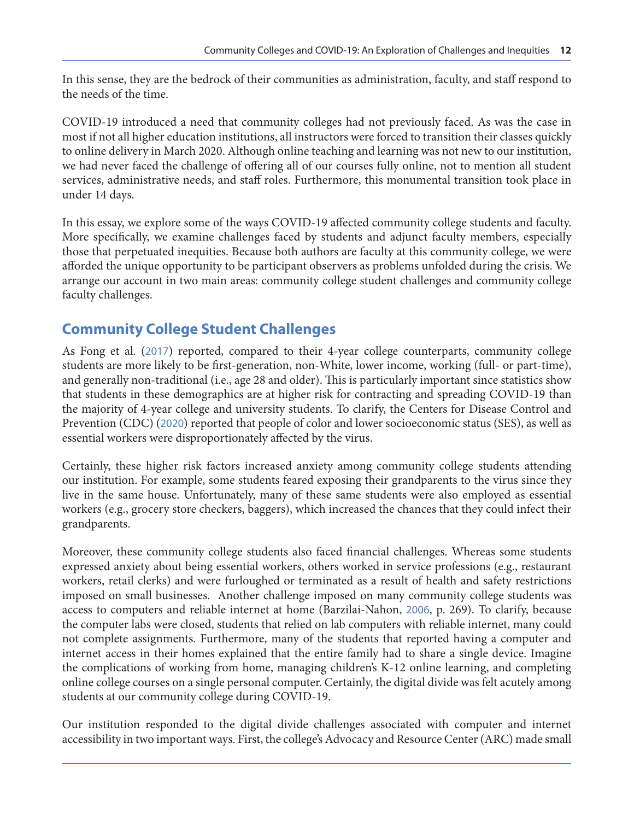In this sense, they are the bedrock of their communities as administration, faculty, and staff respond to the needs of the time.

COVID-19 introduced a need that community colleges had not previously faced. As was the case in most if not all higher education institutions, all instructors were forced to transition their classes quickly to online delivery in March 2020. Although online teaching and learning was not new to our institution, we had never faced the challenge of offering all of our courses fully online, not to mention all student services, administrative needs, and staff roles. Furthermore, this monumental transition took place in under 14 days.

In this essay, we explore some of the ways COVID-19 affected community college students and faculty. More specifically, we examine challenges faced by students and adjunct faculty members, especially those that perpetuated inequities. Because both authors are faculty at this community college, we were afforded the unique opportunity to be participant observers as problems unfolded during the crisis. We arrange our account in two main areas: community college student challenges and community college faculty challenges.

## **Community College Student Challenges**

As Fong et al. ([2017](#page-5-0)) reported, compared to their 4-year college counterparts, community college students are more likely to be first-generation, non-White, lower income, working (full- or part-time), and generally non-traditional (i.e., age 28 and older). This is particularly important since statistics show that students in these demographics are at higher risk for contracting and spreading COVID-19 than the majority of 4-year college and university students. To clarify, the Centers for Disease Control and Prevention (CDC) ([2020](#page-5-0)) reported that people of color and lower socioeconomic status (SES), as well as essential workers were disproportionately affected by the virus.

Certainly, these higher risk factors increased anxiety among community college students attending our institution. For example, some students feared exposing their grandparents to the virus since they live in the same house. Unfortunately, many of these same students were also employed as essential workers (e.g., grocery store checkers, baggers), which increased the chances that they could infect their grandparents.

Moreover, these community college students also faced financial challenges. Whereas some students expressed anxiety about being essential workers, others worked in service professions (e.g., restaurant workers, retail clerks) and were furloughed or terminated as a result of health and safety restrictions imposed on small businesses. Another challenge imposed on many community college students was access to computers and reliable internet at home (Barzilai-Nahon, [2006](#page-5-0), p. 269). To clarify, because the computer labs were closed, students that relied on lab computers with reliable internet, many could not complete assignments. Furthermore, many of the students that reported having a computer and internet access in their homes explained that the entire family had to share a single device. Imagine the complications of working from home, managing children's K-12 online learning, and completing online college courses on a single personal computer. Certainly, the digital divide was felt acutely among students at our community college during COVID-19.

Our institution responded to the digital divide challenges associated with computer and internet accessibility in two important ways. First, the college's Advocacy and Resource Center (ARC) made small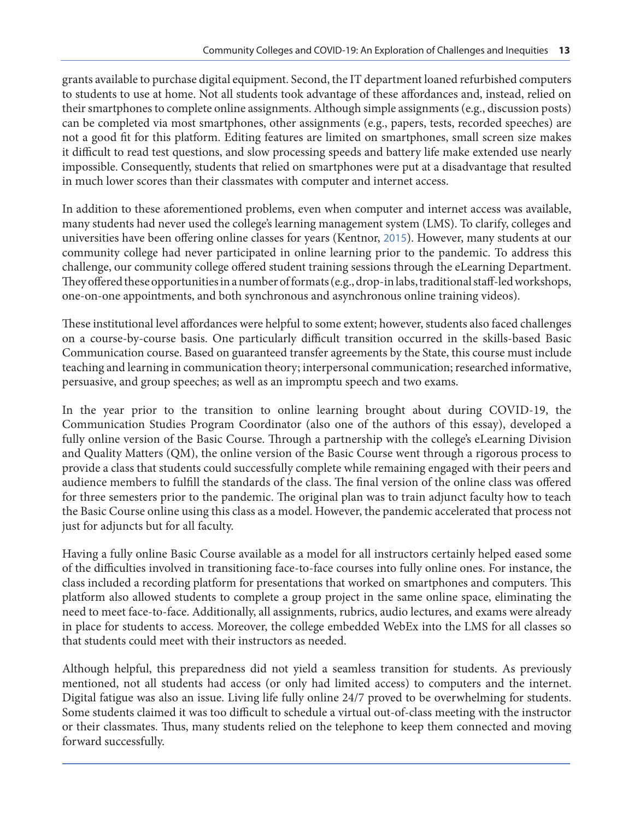grants available to purchase digital equipment. Second, the IT department loaned refurbished computers to students to use at home. Not all students took advantage of these affordances and, instead, relied on their smartphones to complete online assignments. Although simple assignments (e.g., discussion posts) can be completed via most smartphones, other assignments (e.g., papers, tests, recorded speeches) are not a good fit for this platform. Editing features are limited on smartphones, small screen size makes it difficult to read test questions, and slow processing speeds and battery life make extended use nearly impossible. Consequently, students that relied on smartphones were put at a disadvantage that resulted in much lower scores than their classmates with computer and internet access.

In addition to these aforementioned problems, even when computer and internet access was available, many students had never used the college's learning management system (LMS). To clarify, colleges and universities have been offering online classes for years (Kentnor, [2015](#page-5-0)). However, many students at our community college had never participated in online learning prior to the pandemic. To address this challenge, our community college offered student training sessions through the eLearning Department. They offered these opportunities in a number of formats (e.g., drop-in labs, traditional staff-led workshops, one-on-one appointments, and both synchronous and asynchronous online training videos).

These institutional level affordances were helpful to some extent; however, students also faced challenges on a course-by-course basis. One particularly difficult transition occurred in the skills-based Basic Communication course. Based on guaranteed transfer agreements by the State, this course must include teaching and learning in communication theory; interpersonal communication; researched informative, persuasive, and group speeches; as well as an impromptu speech and two exams.

In the year prior to the transition to online learning brought about during COVID-19, the Communication Studies Program Coordinator (also one of the authors of this essay), developed a fully online version of the Basic Course. Through a partnership with the college's eLearning Division and Quality Matters (QM), the online version of the Basic Course went through a rigorous process to provide a class that students could successfully complete while remaining engaged with their peers and audience members to fulfill the standards of the class. The final version of the online class was offered for three semesters prior to the pandemic. The original plan was to train adjunct faculty how to teach the Basic Course online using this class as a model. However, the pandemic accelerated that process not just for adjuncts but for all faculty.

Having a fully online Basic Course available as a model for all instructors certainly helped eased some of the difficulties involved in transitioning face-to-face courses into fully online ones. For instance, the class included a recording platform for presentations that worked on smartphones and computers. This platform also allowed students to complete a group project in the same online space, eliminating the need to meet face-to-face. Additionally, all assignments, rubrics, audio lectures, and exams were already in place for students to access. Moreover, the college embedded WebEx into the LMS for all classes so that students could meet with their instructors as needed.

Although helpful, this preparedness did not yield a seamless transition for students. As previously mentioned, not all students had access (or only had limited access) to computers and the internet. Digital fatigue was also an issue. Living life fully online 24/7 proved to be overwhelming for students. Some students claimed it was too difficult to schedule a virtual out-of-class meeting with the instructor or their classmates. Thus, many students relied on the telephone to keep them connected and moving forward successfully.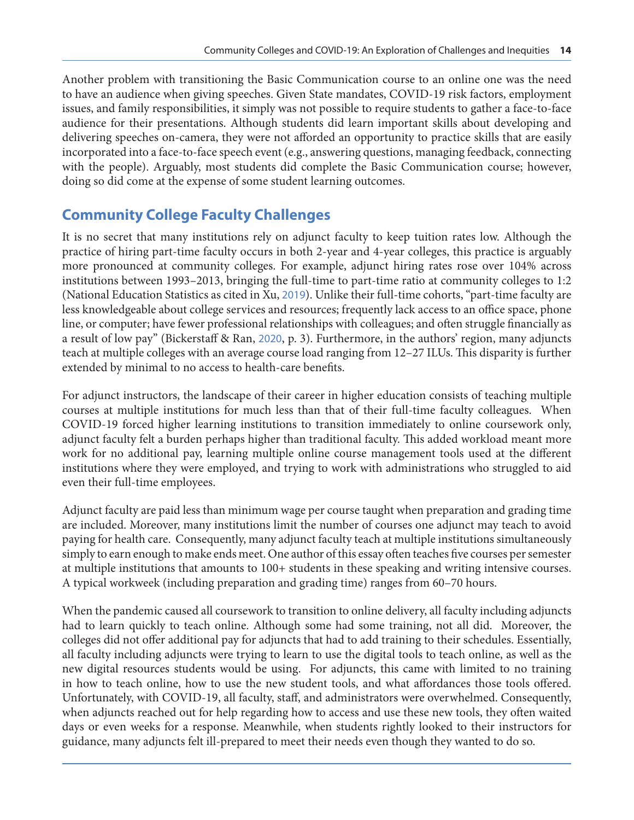Another problem with transitioning the Basic Communication course to an online one was the need to have an audience when giving speeches. Given State mandates, COVID-19 risk factors, employment issues, and family responsibilities, it simply was not possible to require students to gather a face-to-face audience for their presentations. Although students did learn important skills about developing and delivering speeches on-camera, they were not afforded an opportunity to practice skills that are easily incorporated into a face-to-face speech event (e.g., answering questions, managing feedback, connecting with the people). Arguably, most students did complete the Basic Communication course; however, doing so did come at the expense of some student learning outcomes.

# **Community College Faculty Challenges**

It is no secret that many institutions rely on adjunct faculty to keep tuition rates low. Although the practice of hiring part-time faculty occurs in both 2-year and 4-year colleges, this practice is arguably more pronounced at community colleges. For example, adjunct hiring rates rose over 104% across institutions between 1993–2013, bringing the full-time to part-time ratio at community colleges to 1:2 (National Education Statistics as cited in Xu, [2019](#page-5-0)). Unlike their full-time cohorts, "part-time faculty are less knowledgeable about college services and resources; frequently lack access to an office space, phone line, or computer; have fewer professional relationships with colleagues; and often struggle financially as a result of low pay" (Bickerstaff & Ran, [2020](#page-5-0), p. 3). Furthermore, in the authors' region, many adjuncts teach at multiple colleges with an average course load ranging from 12–27 ILUs. This disparity is further extended by minimal to no access to health-care benefits.

For adjunct instructors, the landscape of their career in higher education consists of teaching multiple courses at multiple institutions for much less than that of their full-time faculty colleagues. When COVID-19 forced higher learning institutions to transition immediately to online coursework only, adjunct faculty felt a burden perhaps higher than traditional faculty. This added workload meant more work for no additional pay, learning multiple online course management tools used at the different institutions where they were employed, and trying to work with administrations who struggled to aid even their full-time employees.

Adjunct faculty are paid less than minimum wage per course taught when preparation and grading time are included. Moreover, many institutions limit the number of courses one adjunct may teach to avoid paying for health care. Consequently, many adjunct faculty teach at multiple institutions simultaneously simply to earn enough to make ends meet. One author of this essay often teaches five courses per semester at multiple institutions that amounts to 100+ students in these speaking and writing intensive courses. A typical workweek (including preparation and grading time) ranges from 60–70 hours.

When the pandemic caused all coursework to transition to online delivery, all faculty including adjuncts had to learn quickly to teach online. Although some had some training, not all did. Moreover, the colleges did not offer additional pay for adjuncts that had to add training to their schedules. Essentially, all faculty including adjuncts were trying to learn to use the digital tools to teach online, as well as the new digital resources students would be using. For adjuncts, this came with limited to no training in how to teach online, how to use the new student tools, and what affordances those tools offered. Unfortunately, with COVID-19, all faculty, staff, and administrators were overwhelmed. Consequently, when adjuncts reached out for help regarding how to access and use these new tools, they often waited days or even weeks for a response. Meanwhile, when students rightly looked to their instructors for guidance, many adjuncts felt ill-prepared to meet their needs even though they wanted to do so.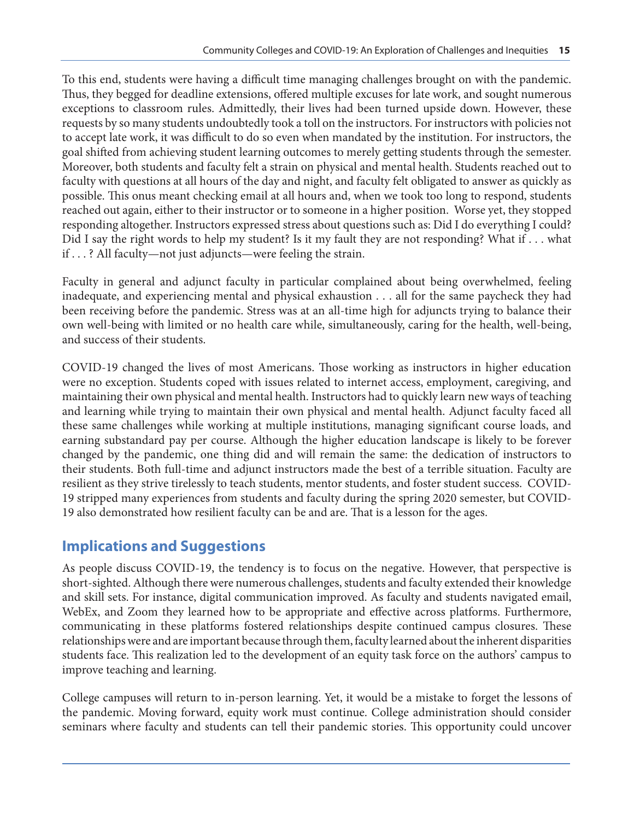To this end, students were having a difficult time managing challenges brought on with the pandemic. Thus, they begged for deadline extensions, offered multiple excuses for late work, and sought numerous exceptions to classroom rules. Admittedly, their lives had been turned upside down. However, these requests by so many students undoubtedly took a toll on the instructors. For instructors with policies not to accept late work, it was difficult to do so even when mandated by the institution. For instructors, the goal shifted from achieving student learning outcomes to merely getting students through the semester. Moreover, both students and faculty felt a strain on physical and mental health. Students reached out to faculty with questions at all hours of the day and night, and faculty felt obligated to answer as quickly as possible. This onus meant checking email at all hours and, when we took too long to respond, students reached out again, either to their instructor or to someone in a higher position. Worse yet, they stopped responding altogether. Instructors expressed stress about questions such as: Did I do everything I could? Did I say the right words to help my student? Is it my fault they are not responding? What if . . . what if . . . ? All faculty—not just adjuncts—were feeling the strain.

Faculty in general and adjunct faculty in particular complained about being overwhelmed, feeling inadequate, and experiencing mental and physical exhaustion . . . all for the same paycheck they had been receiving before the pandemic. Stress was at an all-time high for adjuncts trying to balance their own well-being with limited or no health care while, simultaneously, caring for the health, well-being, and success of their students.

COVID-19 changed the lives of most Americans. Those working as instructors in higher education were no exception. Students coped with issues related to internet access, employment, caregiving, and maintaining their own physical and mental health. Instructors had to quickly learn new ways of teaching and learning while trying to maintain their own physical and mental health. Adjunct faculty faced all these same challenges while working at multiple institutions, managing significant course loads, and earning substandard pay per course. Although the higher education landscape is likely to be forever changed by the pandemic, one thing did and will remain the same: the dedication of instructors to their students. Both full-time and adjunct instructors made the best of a terrible situation. Faculty are resilient as they strive tirelessly to teach students, mentor students, and foster student success. COVID-19 stripped many experiences from students and faculty during the spring 2020 semester, but COVID-19 also demonstrated how resilient faculty can be and are. That is a lesson for the ages.

#### **Implications and Suggestions**

As people discuss COVID-19, the tendency is to focus on the negative. However, that perspective is short-sighted. Although there were numerous challenges, students and faculty extended their knowledge and skill sets. For instance, digital communication improved. As faculty and students navigated email, WebEx, and Zoom they learned how to be appropriate and effective across platforms. Furthermore, communicating in these platforms fostered relationships despite continued campus closures. These relationships were and are important because through them, faculty learned about the inherent disparities students face. This realization led to the development of an equity task force on the authors' campus to improve teaching and learning.

College campuses will return to in-person learning. Yet, it would be a mistake to forget the lessons of the pandemic. Moving forward, equity work must continue. College administration should consider seminars where faculty and students can tell their pandemic stories. This opportunity could uncover